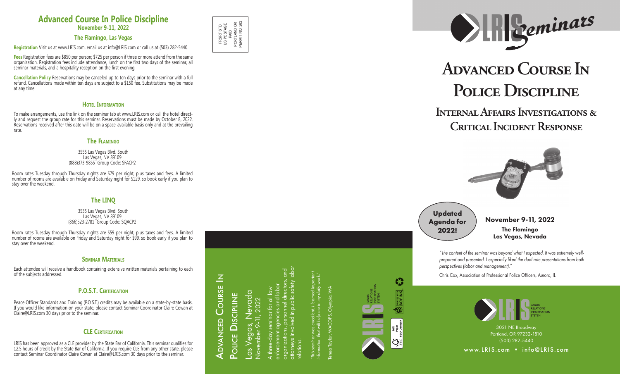November 9-11, 2022

The Flamingo Las Vegas, Nevada

# **Advanced Course In**  POLICE DISCIPLINE

PRSRT STD US POSTAGE PRSRT STD<br>US POSTAGE<br>PORTLAND OR<br>PERMIT NO. 262 PORTLAND OR PERMIT NO. 262

OR 262

## **Internal Affairs Investigations & Critical Incident Response**







attorneys involved in public safety labor organizations, personnel directors, and enforcement agencies and labor A three-day seminar for all law ed in public sa three-day seminar for all l<br>forcement agencies and la **lations** 

*"The content of the seminar was beyond what I expected. It was extremely wellprepared and presented. I especially liked the dual role presentations from both perspectives (labor and management)."*

*"This seminar was excellent. I learned important information that will help me in my daily work."* was excellent. I learned i<br>hat will help me in my dai

Teresa Taylor, WACOPS, Olympia, WA Taylor, WACOPS, Olympia, WA



 $\zeta_{\rm s}^2$ 

**DESOY INK** 

ۣ

Chris Cox, Association of Professional Police Officers, Aurora, IL

Advanced Course In

November 9-11, 2022

## **Updated Agenda for 2022!**



## **Advanced Course In Police Discipline**

**November 9-11, 2022**

## **The Flamingo, Las Vegas**

**Registration** Visit us at www.LRIS.com, email us at info@LRIS.com or call us at (503) 282-5440.

**Fees** Registration fees are \$850 per person; \$725 per person if three or more attend from the same organization. Registration fees include attendance, lunch on the first two days of the seminar, all seminar materials, and a hospitality reception on the first evening.

**Cancellation Policy** Reservations may be canceled up to ten days prior to the seminar with a full refund. Cancellations made within ten days are subject to a \$150 fee. Substitutions may be made at any time.

## **H**OTEL INFORMATION

To make arrangements, use the link on the seminar tab at www.LRIS.com or call the hotel direct ly and request the group rate for this seminar. Reservations must be made by October 8, 2022. Reservations received after this date will be on a space-available basis only and at the prevailing rate.

## **The Flam ingo**

#### 3555 Las Vegas Blvd. South Las Vegas, NV 89109 (888)373-9855 Group Code: SFACP2

Room rates Tuesday through Thursday nights are \$79 per night, plus taxes and fees. A limited number of rooms are available on Friday and Saturday night for \$129, so book early if you plan to stay over the weekend.

## **The L I N Q**

3535 Las Vegas Blvd. South Las Vegas, NV 89109 (866)523-2781 Group Code: SQACP2

Room rates Tuesday through Thursday nights are \$59 per night, plus taxes and fees. A limited number of rooms are available on Friday and Saturday night for \$99, so book early if you plan to stay over the weekend.

#### **Sem inar Mater ial s**

Each attendee will receive a handbook containing extensive written materials pertaining to each of the subjects addressed.

#### **P. O.S. T. Cert ficat ion i**

Peace Officer Standards and Training (P.O.S.T.) credits may be available on a state-by-state basis. If you would like information on your state, please contact Seminar Coordinator Claire Cowan at Claire@LRIS.com 30 days prior to the seminar.

#### **CLE Cert ficat ion i**

LRIS has been approved as a CLE provider by the State Bar of California. This seminar qualifies for 12.5 hours of credit by the State Bar of California. If you require CLE from any other state, please contact Seminar Coordinator Claire Cowan at Claire@LRIS.com 30 days prior to the seminar.

**ADVANCED COURSE IN** Las Vegas, Nevada<br><sub>November 9-11, 2022</sub> Las Vegas, Nevada POLICE DISCIPLINE POLICE DISCIPLINE